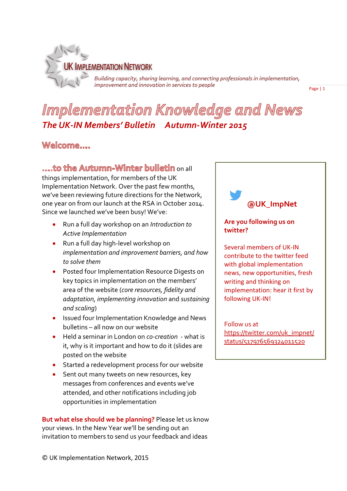

Building capacity, sharing learning, and connecting professionals in implementation, improvement and innovation in services to people

Page | 1

# Implementation Knowledge and News *The UK-IN Members' Bulletin Autumn-Winter 2015*

# Welcome....

....to the Autumn-Winter bulletin on all

things implementation, for members of the UK Implementation Network. Over the past few months, we've been reviewing future directions for the Network, one year on from our launch at the RSA in October 2014. Since we launched we've been busy! We've:

- Run a full day workshop on an *Introduction to Active Implementation*
- Run a full day high-level workshop on *implementation and improvement barriers, and how to solve them*
- **•** Posted four Implementation Resource Digests on key topics in implementation on the members' area of the website (*core resources, fidelity and adaptation, implementing innovation* and *sustaining and scaling*)
- **•** Issued four Implementation Knowledge and News bulletins – all now on our website
- Held a seminar in London on *co-creation* what is it, why is it important and how to do it (slides are posted on the website
- Started a redevelopment process for our website
- Sent out many tweets on new resources, key messages from conferences and events we've attended, and other notifications including job opportunities in implementation

**But what else should we be planning?** Please let us know your views. In the New Year we'll be sending out an invitation to members to send us your feedback and ideas

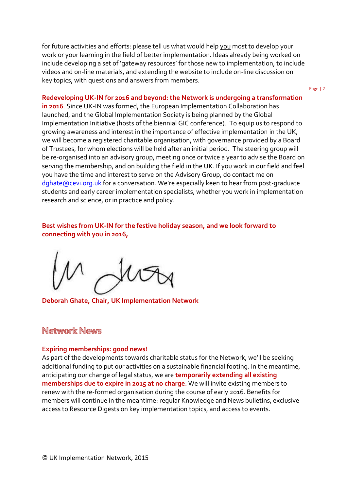for future activities and efforts: please tell us what would help you most to develop your work or your learning in the field of better implementation. Ideas already being worked on include developing a set of 'gateway resources' for those new to implementation, to include videos and on-line materials, and extending the website to include on-line discussion on key topics, with questions and answers from members.

Page | 2

#### **Redeveloping UK-IN for 2016 and beyond: the Network is undergoing a transformation**

**in 2016**. Since UK-IN was formed, the European Implementation Collaboration has launched, and the Global Implementation Society is being planned by the Global Implementation Initiative (hosts of the biennial GIC conference). To equip us to respond to growing awareness and interest in the importance of effective implementation in the UK, we will become a registered charitable organisation, with governance provided by a Board of Trustees, for whom elections will be held after an initial period. The steering group will be re-organised into an advisory group, meeting once or twice a year to advise the Board on serving the membership, and on building the field in the UK. If you work in our field and feel you have the time and interest to serve on the Advisory Group, do contact me on [dghate@cevi.org.uk](mailto:dghate@cevi.org.uk) for a conversation. We're especially keen to hear from post-graduate students and early career implementation specialists, whether you work in implementation research and science, or in practice and policy.

**Best wishes from UK-IN for the festive holiday season, and we look forward to connecting with you in 2016,**

**Deborah Ghate, Chair, UK Implementation Network**

### Network News

#### **Expiring memberships: good news!**

As part of the developments towards charitable status for the Network, we'll be seeking additional funding to put our activities on a sustainable financial footing. In the meantime, anticipating our change of legal status, we are **temporarily extending all existing memberships due to expire in 2015 at no charge**. We will invite existing members to renew with the re-formed organisation during the course of early 2016. Benefits for members will continue in the meantime: regular Knowledge and News bulletins, exclusive access to Resource Digests on key implementation topics, and access to events.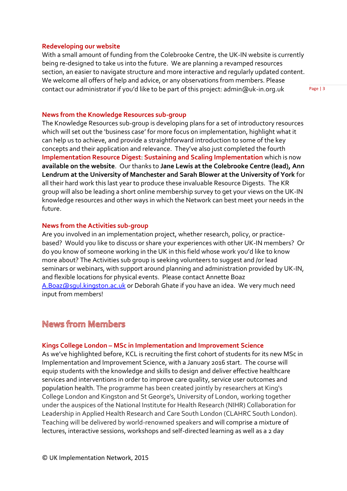#### **Redeveloping our website**

With a small amount of funding from the Colebrooke Centre, the UK-IN website is currently being re-designed to take us into the future. We are planning a revamped resources section, an easier to navigate structure and more interactive and regularly updated content. We welcome all offers of help and advice, or any observations from members. Please contact our administrator if you'd like to be part of this project: admin@uk-in.org.uk

Page | 3

#### **News from the Knowledge Resources sub-group**

The Knowledge Resources sub-group is developing plans for a set of introductory resources which will set out the 'business case' for more focus on implementation, highlight what it can help us to achieve, and provide a straightforward introduction to some of the key concepts and their application and relevance. They've also just completed the fourth **Implementation Resource Digest**: **Sustaining and Scaling Implementation** which is now **available on the website**. Our thanks to **Jane Lewis at the Colebrooke Centre (lead), Ann Lendrum at the University of Manchester and Sarah Blower at the University of York** for all their hard work this last year to produce these invaluable Resource Digests. The KR group will also be leading a short online membership survey to get your views on the UK-IN knowledge resources and other ways in which the Network can best meet your needs in the future.

#### **News from the Activities sub-group**

Are you involved in an implementation project, whether research, policy, or practicebased? Would you like to discuss or share your experiences with other UK-IN members? Or do you know of someone working in the UK in this field whose work you'd like to know more about? The Activities sub group is seeking volunteers to suggest and /or lead seminars or webinars, with support around planning and administration provided by UK-IN, and flexible locations for physical events. Please contact Annette Boaz A.Boaz@squl.kingston.ac.uk or Deborah Ghate if you have an idea. We very much need input from members!

# News from Members

#### **Kings College London – MSc in Implementation and Improvement Science**

As we've highlighted before, KCL is recruiting the first cohort of students for its new MSc in Implementation and Improvement Science, with a January 2016 start. The course will equip students with the knowledge and skills to design and deliver effective healthcare services and interventions in order to improve care quality, service user outcomes and population health. The programme has been created jointly by researchers at King's College London and Kingston and St George's, University of London, working together under the auspices of the National Institute for Health Research (NIHR) Collaboration for Leadership in Applied Health Research and Care South London (CLAHRC South London). Teaching will be delivered by world-renowned speakers and will comprise a mixture of lectures, interactive sessions, workshops and self-directed learning as well as a 2 day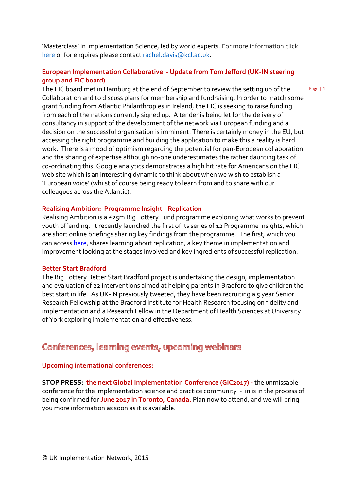'Masterclass' in Implementation Science, led by world experts. For more information click [here](http://www.kcl.ac.uk/prospectus/graduate/implementation-and-improvement-science) or for enquires please contact [rachel.davis@kcl.ac.uk.](mailto:rachel.davis@kcl.ac.uk)

### **European Implementation Collaborative - Update from Tom Jefford (UK-IN steering group and EIC board)**

The EIC board met in Hamburg at the end of September to review the setting up of the Collaboration and to discuss plans for membership and fundraising. In order to match some grant funding from Atlantic Philanthropies in Ireland, the EIC is seeking to raise funding from each of the nations currently signed up. A tender is being let for the delivery of consultancy in support of the development of the network via European funding and a decision on the successful organisation is imminent. There is certainly money in the EU, but accessing the right programme and building the application to make this a reality is hard work. There is a mood of optimism regarding the potential for pan-European collaboration and the sharing of expertise although no-one underestimates the rather daunting task of co-ordinating this. Google analytics demonstrates a high hit rate for Americans on the EIC web site which is an interesting dynamic to think about when we wish to establish a 'European voice' (whilst of course being ready to learn from and to share with our colleagues across the Atlantic).

#### **Realising Ambition: Programme Insight - Replication**

Realising Ambition is a £25m Big Lottery Fund programme exploring what works to prevent youth offending. It recently launched the first of its series of 12 Programme Insights, which are short online briefings sharing key findings from the programme. The first, which you can acces[s here,](http://www.catch-22.org.uk/wp-content/uploads/2015/06/Realising-Ambition-Programme-Insight-The-Secret-Life-of-Innovation.pdf) shares learning about replication, a key theme in implementation and improvement looking at the stages involved and key ingredients of successful replication.

#### **Better Start Bradford**

The Big Lottery Better Start Bradford project is undertaking the design, implementation and evaluation of 22 interventions aimed at helping parents in Bradford to give children the best start in life. As UK-IN previously tweeted, they have been recruiting a 5 year Senior Research Fellowship at the Bradford Institute for Health Research focusing on fidelity and implementation and a Research Fellow in the Department of Health Sciences at University of York exploring implementation and effectiveness.

# Conferences, learning events, upcoming webinars

#### **Upcoming international conferences:**

**STOP PRESS: the next Global Implementation Conference (GIC2017) - the unmissable** conference for the implementation science and practice community -in is in the process of being confirmed for **June 2017 in Toronto, Canada.** Plan now to attend, and we will bring you more information as soon as it is available.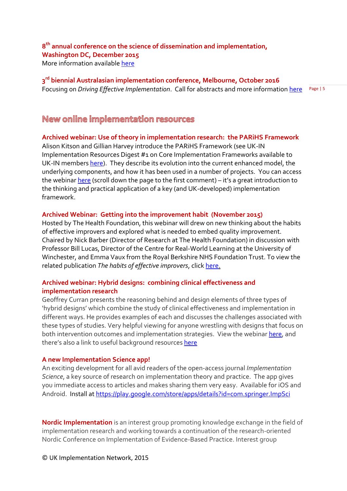**8 th annual conference on the science of dissemination and implementation, Washington DC, December 2015** More information available [here](http://www.academyhealth.org/Events/events.cfm?ItemNumber=13518)

Focusing on *Driving Effective Implementation*. Call for abstracts and more information <u>heres algests</u> **3 rd biennial Australasian implementation conference, Melbourne, October 2016**

## New online implementation resources

#### **Archived webinar: Use of theory in implementation research: the PARiHS Framework**

Alison Kitson and Gillian Harvey introduce the PARiHS Framework (see UK-IN Implementation Resources Digest #1 on Core Implementation Frameworks available to UK-IN member[s here\)](http://www.uk-in.org.uk/members/digest.html). They describe its evolution into the current enhanced model, the underlying components, and how it has been used in a number of projects. You can access the webinar [here](https://researchtoreality.cancer.gov/node/1732) (scroll down the page to the first comment) – it's a great introduction to the thinking and practical application of a key (and UK-developed) implementation framework.

#### **Archived Webinar: Getting into the improvement habit (November 2015)**

Hosted by The Health Foundation, this webinar will drew on new thinking about the habits of effective improvers and explored what is needed to embed quality improvement. Chaired by Nick Barber (Director of Research at The Health Foundation) in discussion with Professor Bill Lucas, Director of the Centre for Real-World Learning at the University of Winchester, and Emma Vaux from the Royal Berkshire NHS Foundation Trust. To view the related publication *The habits of effective improvers*, clic[k here.](http://www.health.org.uk/sites/default/files/TheHabitsOfAnImprover.pdf)

#### **Archived webinar: Hybrid designs: combining clinical effectiveness and implementation research**

Geoffrey Curran presents the reasoning behind and design elements of three types of 'hybrid designs' which combine the study of clinical effectiveness and implementation in different ways. He provides examples of each and discusses the challenges associated with these types of studies. Very helpful viewing for anyone wrestling with designs that focus on both intervention outcomes and implementation strategies. View the webinar [here,](https://researchtoreality.cancer.gov/node/1764) and t[here](https://cyberseminar.cancercontrolplanet.org/implementationscience/default.aspx)'s also a link to useful background resources here

#### **A new Implementation Science app!**

An exciting development for all avid readers of the open-access journal *Implementation Science*, a key source of research on implementation theory and practice. The app gives you immediate access to articles and makes sharing them very easy. Available for iOS and Android. Install a[t https://play.google.com/store/apps/details?id=com.springer.ImpSci](https://play.google.com/store/apps/details?id=com.springer.ImpSci)

**Nordic Implementation** is an interest group promoting knowledge exchange in the field of implementation research and working towards a continuation of the research-oriented Nordic Conference on Implementation of Evidence-Based Practice. Interest group

© UK Implementation Network, 2015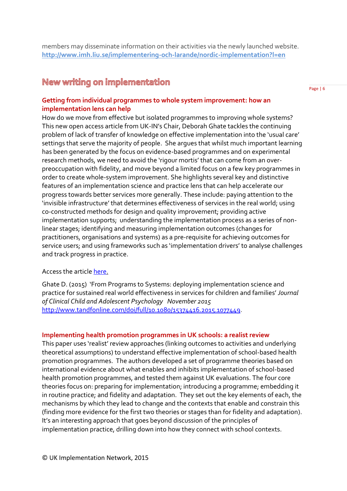members may disseminate information on their activities via the newly launched website. **<http://www.imh.liu.se/implementering-och-larande/nordic-implementation?l=en>**

# New writing on implementation

### **Getting from individual programmes to whole system improvement: how an implementation lens can help**

How do we move from effective but isolated programmes to improving whole systems? This new open access article from UK-IN's Chair, Deborah Ghate tackles the continuing problem of lack of transfer of knowledge on effective implementation into the 'usual care' settings that serve the majority of people. She argues that whilst much important learning has been generated by the focus on evidence-based programmes and on experimental research methods, we need to avoid the 'rigour mortis' that can come from an overpreoccupation with fidelity, and move beyond a limited focus on a few key programmes in order to create whole-system improvement. She highlights several key and distinctive features of an implementation science and practice lens that can help accelerate our progress towards better services more generally. These include: paying attention to the 'invisible infrastructure' that determines effectiveness of services in the real world; using co-constructed methods for design and quality improvement; providing active implementation supports; understanding the implementation process as a series of nonlinear stages; identifying and measuring implementation outcomes (changes for practitioners, organisations and systems) as a pre-requisite for achieving outcomes for service users; and using frameworks such as 'implementation drivers' to analyse challenges and track progress in practice.

#### Access the articl[e here.](http://www.tandfonline.com/doi/full/10.1080/15374416.2015.1077449)

Ghate D. (2015) 'From Programs to Systems: deploying implementation science and practice for sustained real world effectiveness in services for children and families' *Journal of Clinical Child and Adolescent Psychology November 2015* [http://www.tandfonline.com/doi/full/10.1080/15374416.2015.1077449.](http://www.tandfonline.com/doi/full/10.1080/15374416.2015.1077449)

#### **Implementing health promotion programmes in UK schools: a realist review**

This paper uses 'realist' review approaches (linking outcomes to activities and underlying theoretical assumptions) to understand effective implementation of school-based health promotion programmes. The authors developed a set of programme theories based on international evidence about what enables and inhibits implementation of school-based health promotion programmes, and tested them against UK evaluations. The four core theories focus on: preparing for implementation; introducing a programme; embedding it in routine practice; and fidelity and adaptation. They set out the key elements of each, the mechanisms by which they lead to change and the contexts that enable and constrain this (finding more evidence for the first two theories or stages than for fidelity and adaptation). It's an interesting approach that goes beyond discussion of the principles of implementation practice, drilling down into how they connect with school contexts.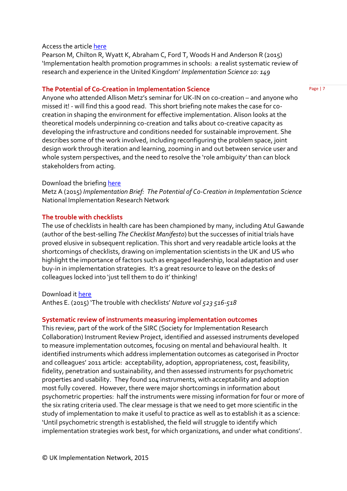#### Access the article [here](http://www.implementationscience.com/content/10/1/149)

Pearson M, Chilton R, Wyatt K, Abraham C, Ford T, Woods H and Anderson R (2015) 'Implementation health promotion programmes in schools: a realist systematic review of research and experience in the United Kingdom' *Implementation Science 10: 149* 

#### **The Potential of Co-Creation in Implementation Science**

Anyone who attended Allison Metz's seminar for UK-IN on co-creation – and anyone who missed it! - will find this a good read. This short briefing note makes the case for cocreation in shaping the environment for effective implementation. Alison looks at the theoretical models underpinning co-creation and talks about co-creative capacity as developing the infrastructure and conditions needed for sustainable improvement. She describes some of the work involved, including reconfiguring the problem space, joint design work through iteration and learning, zooming in and out between service user and whole system perspectives, and the need to resolve the 'role ambiguity' than can block stakeholders from acting.

#### Download the briefing [here](http://nirn.fpg.unc.edu/resources/implementation-brief-co-creation)

Metz A (2015) *Implementation Brief: The Potential of Co-Creation in Implementation Science*  National Implementation Research Network

#### **The trouble with checklists**

The use of checklists in health care has been championed by many, including Atul Gawande (author of the best-selling *The Checklist Manifesto*) but the successes of initial trials have proved elusive in subsequent replication. This short and very readable article looks at the shortcomings of checklists, drawing on implementation scientists in the UK and US who highlight the importance of factors such as engaged leadership, local adaptation and user buy-in in implementation strategies. It's a great resource to leave on the desks of colleagues locked into 'just tell them to do it' thinking!

#### Download i[t here](http://www.nature.com/news/hospital-checklists-are-meant-to-save-lives-so-why-do-they-often-fail-1.18057)

Anthes E. (2015) 'The trouble with checklists' *Nature vol 523 516-518*

#### **Systematic review of instruments measuring implementation outcomes**

This review, part of the work of the SIRC (Society for Implementation Research Collaboration) Instrument Review Project, identified and assessed instruments developed to measure implementation outcomes, focusing on mental and behavioural health. It identified instruments which address implementation outcomes as categorised in Proctor and colleagues' 2011 article: acceptability, adoption, appropriateness, cost, feasibility, fidelity, penetration and sustainability, and then assessed instruments for psychometric properties and usability. They found 104 instruments, with acceptability and adoption most fully covered. However, there were major shortcomings in information about psychometric properties: half the instruments were missing information for four or more of the six rating criteria used. The clear message is that we need to get more scientific in the study of implementation to make it useful to practice as well as to establish it as a science: 'Until psychometric strength is established, the field will struggle to identify which implementation strategies work best, for which organizations, and under what conditions'.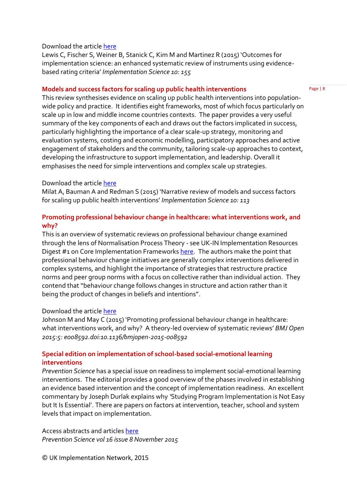#### Download the articl[e here](http://www.implementationscience.com/content/10/1/155)

Lewis C, Fischer S, Weiner B, Stanick C, Kim M and Martinez R (2015) 'Outcomes for implementation science: an enhanced systematic review of instruments using evidencebased rating criteria' *Implementation Science 10: 155*

#### **Models and success factors for scaling up public health interventions**

This review synthesises evidence on scaling up public health interventions into populationwide policy and practice. It identifies eight frameworks, most of which focus particularly on scale up in low and middle income countries contexts. The paper provides a very useful summary of the key components of each and draws out the factors implicated in success, particularly highlighting the importance of a clear scale-up strategy, monitoring and evaluation systems, costing and economic modelling, participatory approaches and active engagement of stakeholders and the community, tailoring scale-up approaches to context, developing the infrastructure to support implementation, and leadership. Overall it emphasises the need for simple interventions and complex scale up strategies.

#### Download the articl[e here](http://www.implementationscience.com/content/10/1/113)

Milat A, Bauman A and Redman S (2015) 'Narrative review of models and success factors for scaling up public health interventions' *Implementation Science 10: 113*

#### **Promoting professional behaviour change in healthcare: what interventions work, and why?**

This is an overview of systematic reviews on professional behaviour change examined through the lens of Normalisation Process Theory - see UK-IN Implementation Resources Digest #1 on Core Implementation Framework[s here.](http://www.uk-in.org.uk/members/digest.html) The authors make the point that professional behaviour change initiatives are generally complex interventions delivered in complex systems, and highlight the importance of strategies that restructure practice norms and peer group norms with a focus on collective rather than individual action. They contend that "behaviour change follows changes in structure and action rather than it being the product of changes in beliefs and intentions".

#### Download the article [here](http://bmjopen.bmj.com/content/5/9/e008592.full.pdf+html)

Johnson M and May C (2015) 'Promoting professional behaviour change in healthcare: what interventions work, and why? A theory-led overview of systematic reviews' *BMJ Open 2015:5: e008592.doi:10.1136/bmjopen-2015-008592*

#### **Special edition on implementation of school-based social-emotional learning interventions**

*Prevention Science* has a special issue on readiness to implement social-emotional learning interventions. The editorial provides a good overview of the phases involved in establishing an evidence based intervention and the concept of implementation readiness. An excellent commentary by Joseph Durlak explains why *'*Studying Program Implementation is Not Easy but It Is Essential'. There are papers on factors at intervention, teacher, school and system levels that impact on implementation.

Access abstracts and articles [here](http://link.springer.com/journal/11121/16/8/page/1) *Prevention Science vol 16 issue 8 November 2015*

© UK Implementation Network, 2015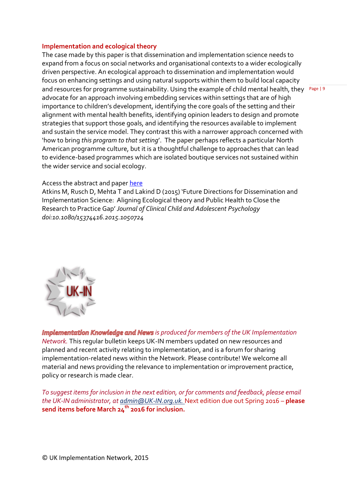#### **Implementation and ecological theory**

and resources for programme sustainability. Using the example of child mental health, they Page I 9 The case made by this paper is that dissemination and implementation science needs to expand from a focus on social networks and organisational contexts to a wider ecologically driven perspective. An ecological approach to dissemination and implementation would focus on enhancing settings and using natural supports within them to build local capacity advocate for an approach involving embedding services within settings that are of high importance to children's development, identifying the core goals of the setting and their alignment with mental health benefits, identifying opinion leaders to design and promote strategies that support those goals, and identifying the resources available to implement and sustain the service model. They contrast this with a narrower approach concerned with 'how to bring *this program to that setting*'. The paper perhaps reflects a particular North American programme culture, but it is a thoughtful challenge to approaches that can lead to evidence-based programmes which are isolated boutique services not sustained within the wider service and social ecology.

#### Access the abstract and paper [here](http://www.tandfonline.com/doi/abs/10.1080/15374416.2015.1050724)

Atkins M, Rusch D, Mehta T and Lakind D (2015) 'Future Directions for Dissemination and Implementation Science: Aligning Ecological theory and Public Health to Close the Research to Practice Gap' *Journal of Clinical Child and Adolescent Psychology doi:10.1080/15374416.2015.1050724*



*Implementation Knowledge and News is produced for members of the UK Implementation Network.* This regular bulletin keeps UK-IN members updated on new resources and planned and recent activity relating to implementation, and is a forum for sharing implementation-related news within the Network. Please contribute! We welcome all material and news providing the relevance to implementation or improvement practice, policy or research is made clear.

*To suggest items for inclusion in the next edition, or for comments and feedback, please email the UK-IN administrator, at admi[n@UK-IN.org.uk.](mailto:knowledge@UK-IN.org.uk)* Next edition due out Spring 2016 – **please send items before March 24th 2016 for inclusion.**